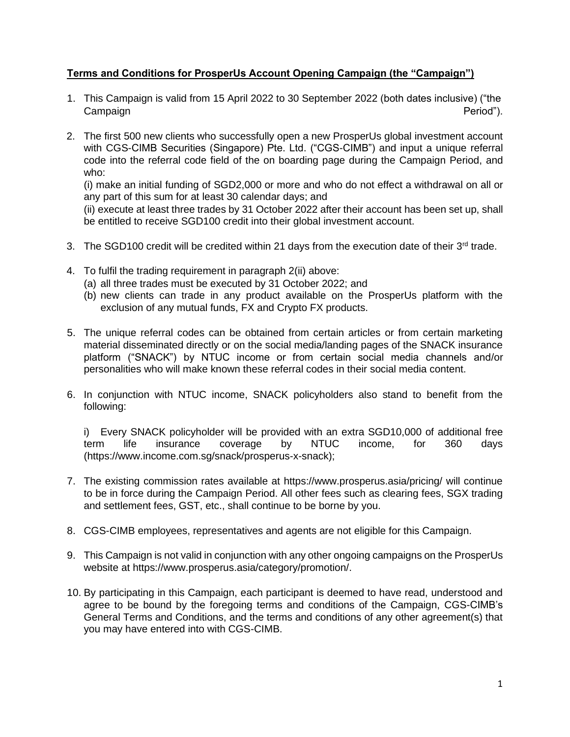## **Terms and Conditions for ProsperUs Account Opening Campaign (the "Campaign")**

- 1. This Campaign is valid from 15 April 2022 to 30 September 2022 (both dates inclusive) ("the Campaign **Campaign** Period").
- 2. The first 500 new clients who successfully open a new ProsperUs global investment account with CGS-CIMB Securities (Singapore) Pte. Ltd. ("CGS-CIMB") and input a unique referral code into the referral code field of the on boarding page during the Campaign Period, and who:

(i) make an initial funding of SGD2,000 or more and who do not effect a withdrawal on all or any part of this sum for at least 30 calendar days; and

(ii) execute at least three trades by 31 October 2022 after their account has been set up, shall be entitled to receive SGD100 credit into their global investment account.

- 3. The SGD100 credit will be credited within 21 days from the execution date of their 3<sup>rd</sup> trade.
- 4. To fulfil the trading requirement in paragraph 2(ii) above:
	- (a) all three trades must be executed by 31 October 2022; and
	- (b) new clients can trade in any product available on the ProsperUs platform with the exclusion of any mutual funds, FX and Crypto FX products.
- 5. The unique referral codes can be obtained from certain articles or from certain marketing material disseminated directly or on the social media/landing pages of the SNACK insurance platform ("SNACK") by NTUC income or from certain social media channels and/or personalities who will make known these referral codes in their social media content.
- 6. In conjunction with NTUC income, SNACK policyholders also stand to benefit from the following:

i) Every SNACK policyholder will be provided with an extra SGD10,000 of additional free term life insurance coverage by NTUC income, for 360 days (https://www.income.com.sg/snack/prosperus-x-snack);

- 7. The existing commission rates available at https://www.prosperus.asia/pricing/ will continue to be in force during the Campaign Period. All other fees such as clearing fees, SGX trading and settlement fees, GST, etc., shall continue to be borne by you.
- 8. CGS-CIMB employees, representatives and agents are not eligible for this Campaign.
- 9. This Campaign is not valid in conjunction with any other ongoing campaigns on the ProsperUs website at https://www.prosperus.asia/category/promotion/.
- 10. By participating in this Campaign, each participant is deemed to have read, understood and agree to be bound by the foregoing terms and conditions of the Campaign, CGS-CIMB's General Terms and Conditions, and the terms and conditions of any other agreement(s) that you may have entered into with CGS-CIMB.